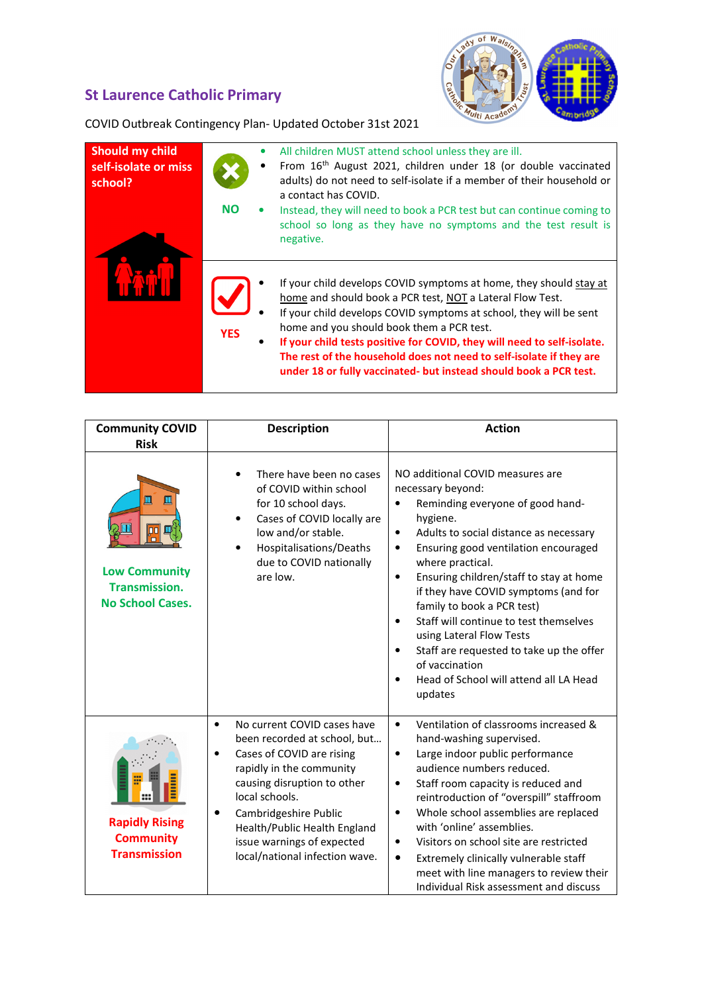## St Laurence Catholic Primary



COVID Outbreak Contingency Plan- Updated October 31st 2021

| <b>Should my child</b><br>self-isolate or miss<br>school? | <b>NO</b>  | All children MUST attend school unless they are ill.<br>From 16 <sup>th</sup> August 2021, children under 18 (or double vaccinated<br>adults) do not need to self-isolate if a member of their household or<br>a contact has COVID.<br>Instead, they will need to book a PCR test but can continue coming to<br>school so long as they have no symptoms and the test result is<br>negative.                                                                               |
|-----------------------------------------------------------|------------|---------------------------------------------------------------------------------------------------------------------------------------------------------------------------------------------------------------------------------------------------------------------------------------------------------------------------------------------------------------------------------------------------------------------------------------------------------------------------|
|                                                           | <b>YES</b> | If your child develops COVID symptoms at home, they should stay at<br>home and should book a PCR test, NOT a Lateral Flow Test.<br>If your child develops COVID symptoms at school, they will be sent<br>home and you should book them a PCR test.<br>If your child tests positive for COVID, they will need to self-isolate.<br>The rest of the household does not need to self-isolate if they are<br>under 18 or fully vaccinated- but instead should book a PCR test. |

| <b>Community COVID</b><br><b>Risk</b>                                                   | <b>Description</b>                                                                                                                                                                                                                                                                                                            | <b>Action</b>                                                                                                                                                                                                                                                                                                                                                                                                                                                                                                                                                                          |
|-----------------------------------------------------------------------------------------|-------------------------------------------------------------------------------------------------------------------------------------------------------------------------------------------------------------------------------------------------------------------------------------------------------------------------------|----------------------------------------------------------------------------------------------------------------------------------------------------------------------------------------------------------------------------------------------------------------------------------------------------------------------------------------------------------------------------------------------------------------------------------------------------------------------------------------------------------------------------------------------------------------------------------------|
| 皿<br>Щ<br>00<br><b>Low Community</b><br><b>Transmission.</b><br><b>No School Cases.</b> | There have been no cases<br>of COVID within school<br>for 10 school days.<br>Cases of COVID locally are<br>$\bullet$<br>low and/or stable.<br>Hospitalisations/Deaths<br>due to COVID nationally<br>are low.                                                                                                                  | NO additional COVID measures are<br>necessary beyond:<br>Reminding everyone of good hand-<br>hygiene.<br>Adults to social distance as necessary<br>$\bullet$<br>Ensuring good ventilation encouraged<br>$\bullet$<br>where practical.<br>Ensuring children/staff to stay at home<br>$\bullet$<br>if they have COVID symptoms (and for<br>family to book a PCR test)<br>Staff will continue to test themselves<br>$\bullet$<br>using Lateral Flow Tests<br>Staff are requested to take up the offer<br>$\bullet$<br>of vaccination<br>Head of School will attend all LA Head<br>updates |
| <b>Rapidly Rising</b><br><b>Community</b><br><b>Transmission</b>                        | No current COVID cases have<br>$\bullet$<br>been recorded at school, but<br>Cases of COVID are rising<br>$\bullet$<br>rapidly in the community<br>causing disruption to other<br>local schools.<br>Cambridgeshire Public<br>٠<br>Health/Public Health England<br>issue warnings of expected<br>local/national infection wave. | Ventilation of classrooms increased &<br>$\bullet$<br>hand-washing supervised.<br>Large indoor public performance<br>$\bullet$<br>audience numbers reduced.<br>Staff room capacity is reduced and<br>$\bullet$<br>reintroduction of "overspill" staffroom<br>Whole school assemblies are replaced<br>$\bullet$<br>with 'online' assemblies.<br>Visitors on school site are restricted<br>$\bullet$<br>Extremely clinically vulnerable staff<br>٠<br>meet with line managers to review their<br>Individual Risk assessment and discuss                                                  |